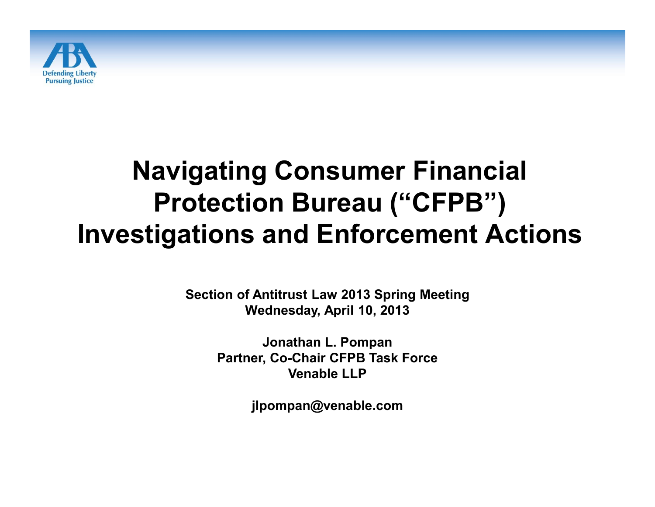

#### **Navigating Consumer Financial Protection Bureau ("CFPB") Investigations and Enforcement Actions**

**Section of Antitrust Law 2013 Spring Meeting Wednesday, April 10, 2013**

> **Jonathan L. Pompan Partner, Co-Chair CFPB Task Force Venable LLP**

> > **jlpompan@venable.com**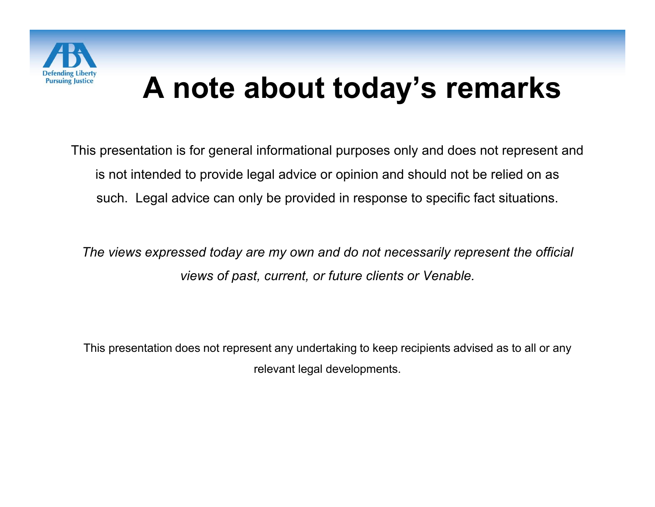

#### **A note about today's remarks**

This presentation is for general informational purposes only and does not represent and is not intended to provide legal advice or opinion and should not be relied on as such. Legal advice can only be provided in response to specific fact situations.

*The views expressed today are my own and do not necessarily represent the official views of past, current, or future clients or Venable.*

This presentation does not represent any undertaking to keep recipients advised as to all or any relevant legal developments.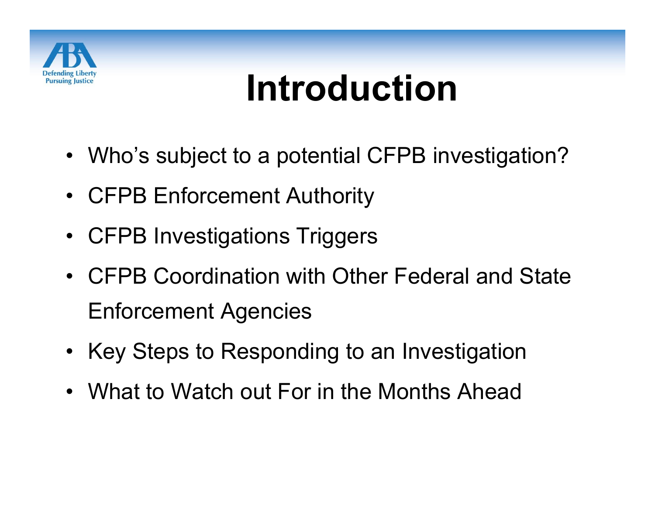

# **Introduction**

- Who's subject to a potential CFPB investigation?
- CFPB Enforcement Authority
- CFPB Investigations Triggers
- CFPB Coordination with Other Federal and State Enforcement Agencies
- Key Steps to Responding to an Investigation
- What to Watch out For in the Months Ahead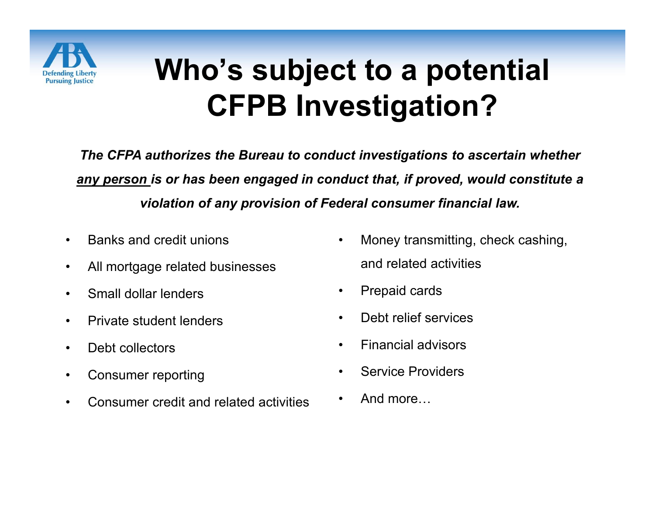

#### **Who's subject to a potential CFPB Investigation?**

*The CFPA authorizes the Bureau to conduct investigations to ascertain whether any person is or has been engaged in conduct that, if proved, would constitute a violation of any provision of Federal consumer financial law.*

- Banks and credit unions
- All mortgage related businesses
- Small dollar lenders
- Private student lenders
- Debt collectors
- Consumer reporting
- Consumer credit and related activities
- Money transmitting, check cashing, and related activities
- Prepaid cards
- Debt relief services
- Financial advisors
- Service Providers
- And more…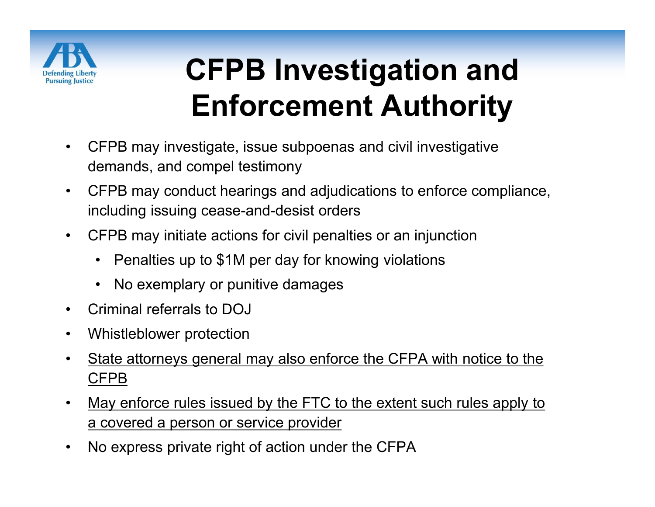

### **CFPB Investigation and Enforcement Authority**

- CFPB may investigate, issue subpoenas and civil investigative demands, and compel testimony
- CFPB may conduct hearings and adjudications to enforce compliance, including issuing cease-and-desist orders
- CFPB may initiate actions for civil penalties or an injunction
	- Penalties up to \$1M per day for knowing violations
	- No exemplary or punitive damages
- Criminal referrals to DOJ
- Whistleblower protection
- State attorneys general may also enforce the CFPA with notice to the CFPB
- May enforce rules issued by the FTC to the extent such rules apply to a covered a person or service provider
- No express private right of action under the CFPA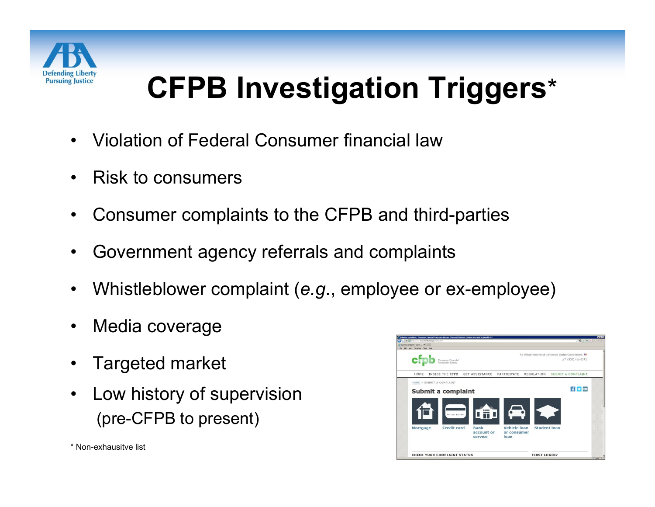

#### **CFPB Investigation Triggers**\*

- Violation of Federal Consumer financial law
- Risk to consumers
- Consumer complaints to the CFPB and third-parties
- Government agency referrals and complaints
- Whistleblower complaint (*e.g*., employee or ex-employee)
- Media coverage
- Targeted market
- Low history of supervision (pre-CFPB to present)



\* Non-exhausitve list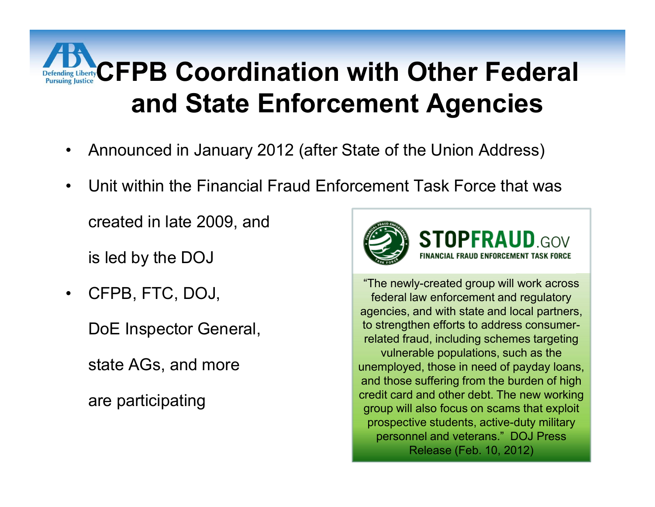### **Perfecting LilbertyCFPB Coordination with Other Federal and State Enforcement Agencies**

- Announced in January 2012 (after State of the Union Address)
- Unit within the Financial Fraud Enforcement Task Force that was

created in late 2009, and

is led by the DOJ

• CFPB, FTC, DOJ,

DoE Inspector General,

state AGs, and more

are participating



**STOPFRAUD.GOV** FINANCIAL FRAUD ENFORCEMENT TASK FORCE

"The newly-created group will work across federal law enforcement and regulatory agencies, and with state and local partners, to strengthen efforts to address consumerrelated fraud, including schemes targeting vulnerable populations, such as the unemployed, those in need of payday loans, and those suffering from the burden of high credit card and other debt. The new working group will also focus on scams that exploit prospective students, active-duty military personnel and veterans." DOJ Press Release (Feb. 10, 2012)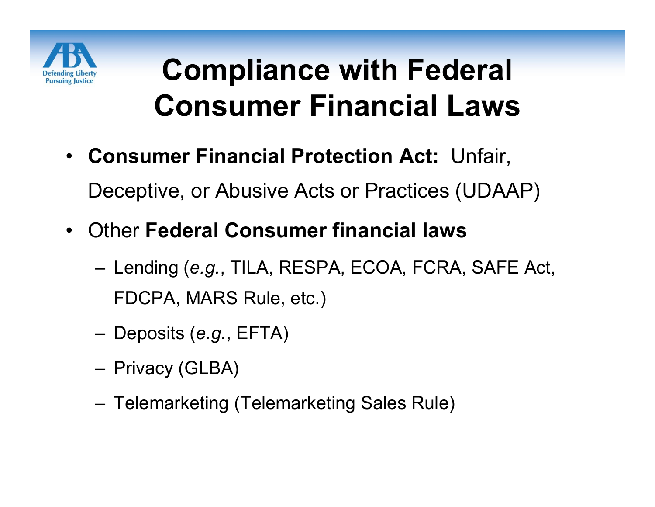

#### **Compliance with Federal Consumer Financial Laws**

- **Consumer Financial Protection Act:** Unfair, Deceptive, or Abusive Acts or Practices (UDAAP)
- Other **Federal Consumer financial laws** 
	- Lending (*e.g.*, TILA, RESPA, ECOA, FCRA, SAFE Act, FDCPA, MARS Rule, etc.)
	- Deposits (*e.g.*, EFTA)
	- Privacy (GLBA)
	- Telemarketing (Telemarketing Sales Rule)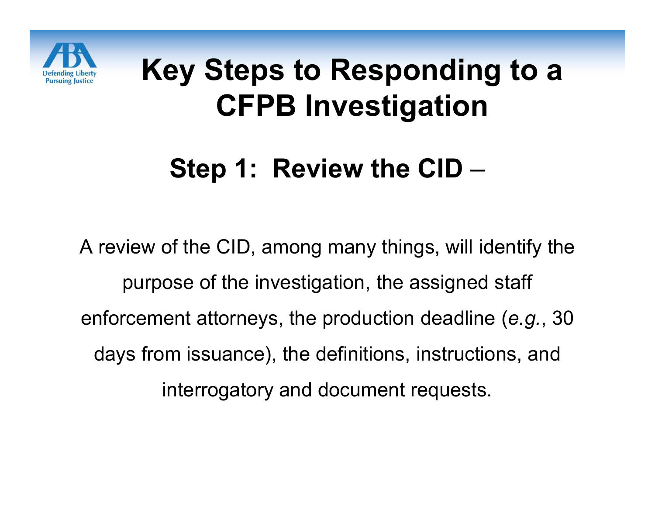

#### **Step 1: Review the CID** –

A review of the CID, among many things, will identify the purpose of the investigation, the assigned staff enforcement attorneys, the production deadline (*e.g.*, 30 days from issuance), the definitions, instructions, and interrogatory and document requests.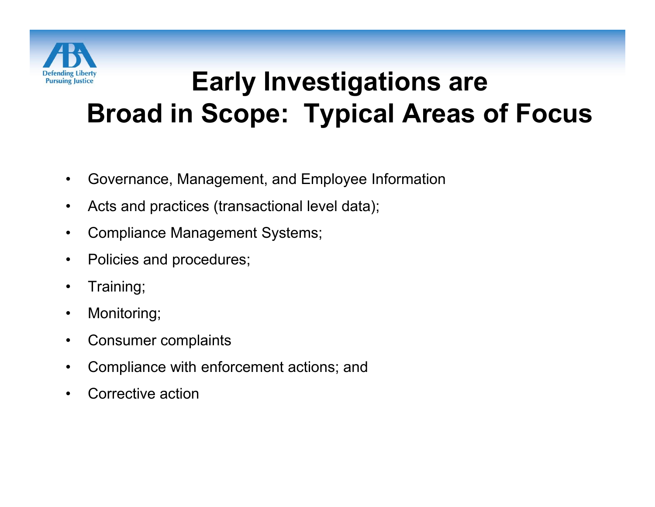

#### **Early Investigations are Broad in Scope: Typical Areas of Focus**

- Governance, Management, and Employee Information
- Acts and practices (transactional level data);
- Compliance Management Systems;
- Policies and procedures;
- Training;
- Monitoring;
- Consumer complaints
- Compliance with enforcement actions; and
- Corrective action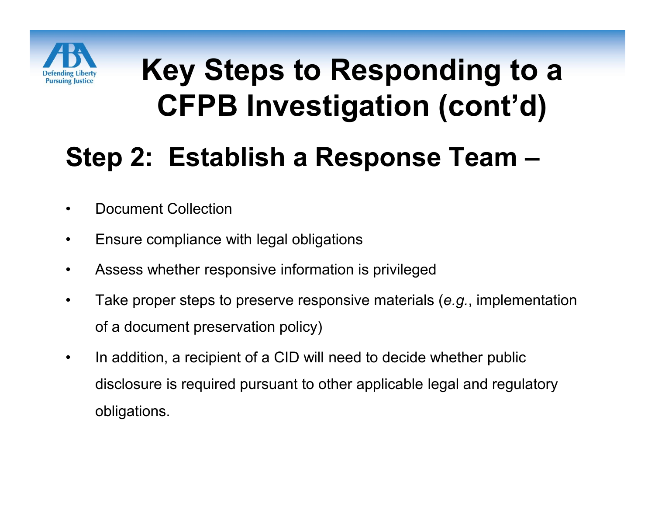

#### **Step 2: Establish a Response Team –**

- Document Collection
- Ensure compliance with legal obligations
- Assess whether responsive information is privileged
- Take proper steps to preserve responsive materials (*e.g.*, implementation of a document preservation policy)
- In addition, a recipient of a CID will need to decide whether public disclosure is required pursuant to other applicable legal and regulatory obligations.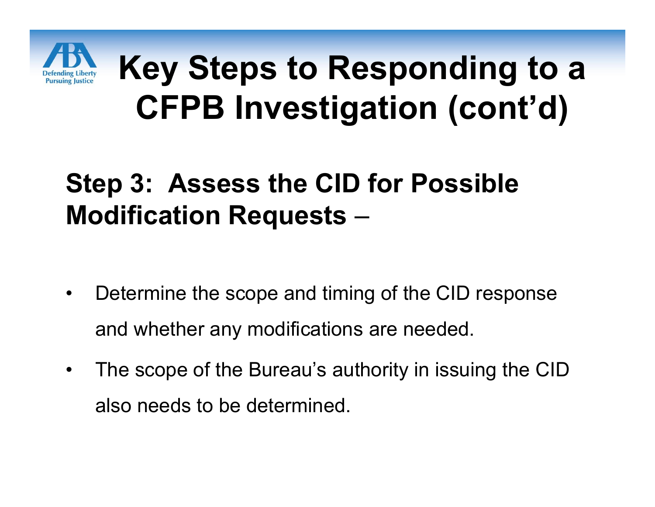

#### **Step 3: Assess the CID for Possible Modification Requests** –

- Determine the scope and timing of the CID response and whether any modifications are needed.
- The scope of the Bureau's authority in issuing the CID also needs to be determined.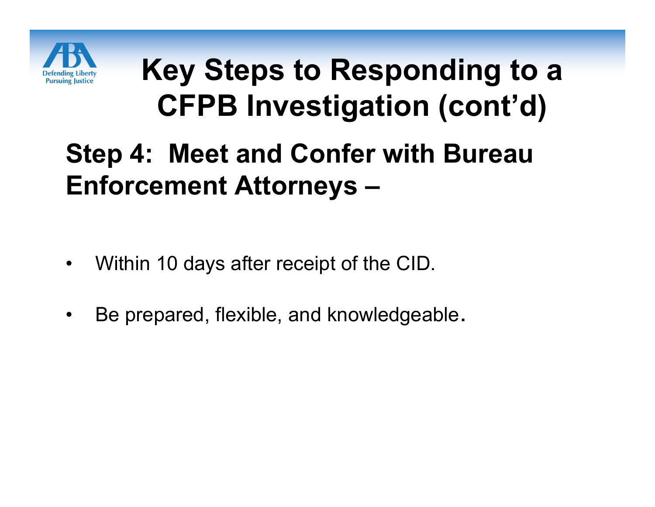

#### **Step 4: Meet and Confer with Bureau Enforcement Attorneys –**

- Within 10 days after receipt of the CID.
- Be prepared, flexible, and knowledgeable.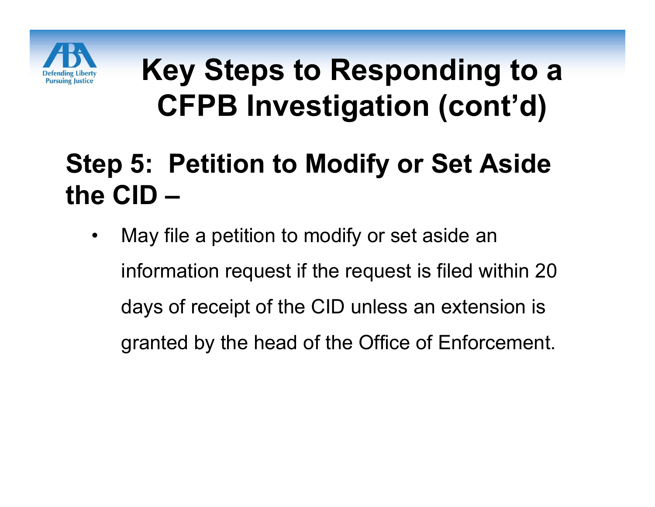

#### **Step 5: Petition to Modify or Set Aside the CID –**

• May file a petition to modify or set aside an information request if the request is filed within 20 days of receipt of the CID unless an extension is granted by the head of the Office of Enforcement.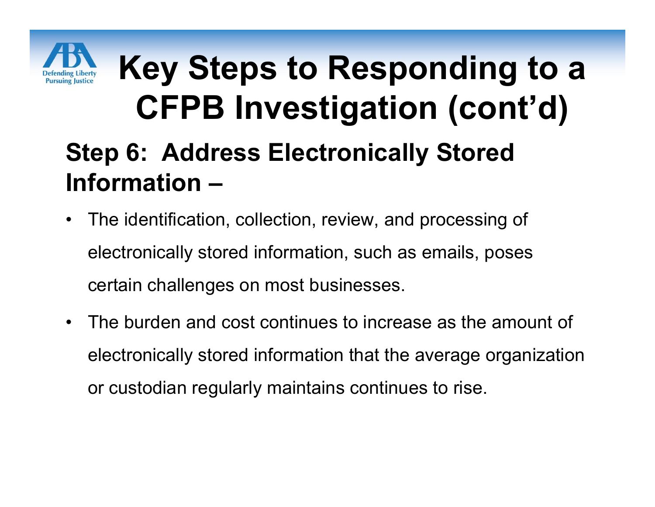

### **Key Steps to Responding to a CFPB Investigation (cont'd) Step 6: Address Electronically Stored Information –**

- The identification, collection, review, and processing of electronically stored information, such as emails, poses certain challenges on most businesses.
- The burden and cost continues to increase as the amount of electronically stored information that the average organization or custodian regularly maintains continues to rise.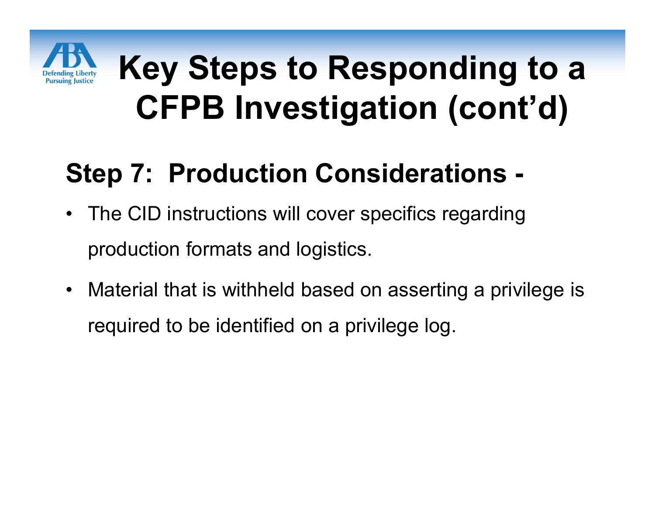

#### **Step 7: Production Considerations -**

- The CID instructions will cover specifics regarding production formats and logistics.
- Material that is withheld based on asserting a privilege is required to be identified on a privilege log.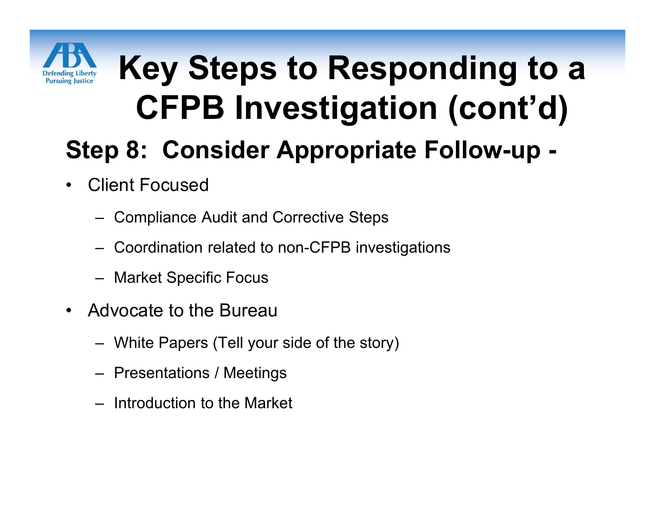

## **Key Steps to Responding to a CFPB Investigation (cont'd) Step 8: Consider Appropriate Follow-up -**

- **Client Focused** 
	- Compliance Audit and Corrective Steps
	- Coordination related to non-CFPB investigations
	- Market Specific Focus
- Advocate to the Bureau
	- White Papers (Tell your side of the story)
	- Presentations / Meetings
	- Introduction to the Market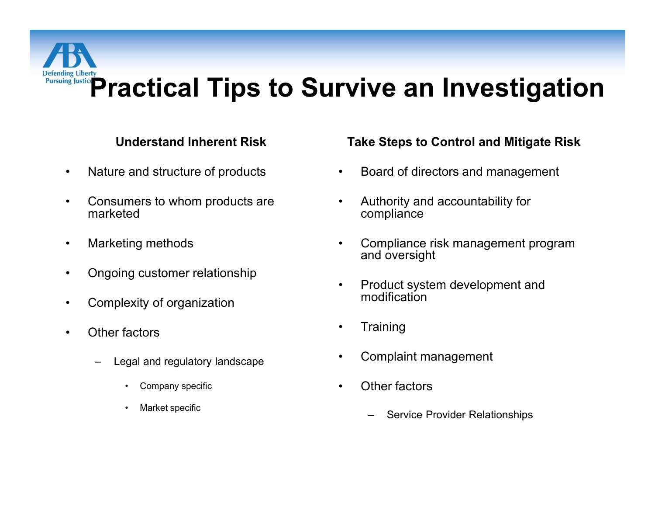# **Pursuing Justics Practical Tips to Survive an Investigation**

#### **Understand Inherent Risk**

- Nature and structure of products
- Consumers to whom products are marketed
- Marketing methods
- Ongoing customer relationship
- Complexity of organization
- Other factors
	- Legal and regulatory landscape
		- Company specific
		- Market specific

#### **Take Steps to Control and Mitigate Risk**

- Board of directors and management
- Authority and accountability for compliance
- Compliance risk management program and oversight
- Product system development and modification
- **Training**
- Complaint management
- Other factors
	- Service Provider Relationships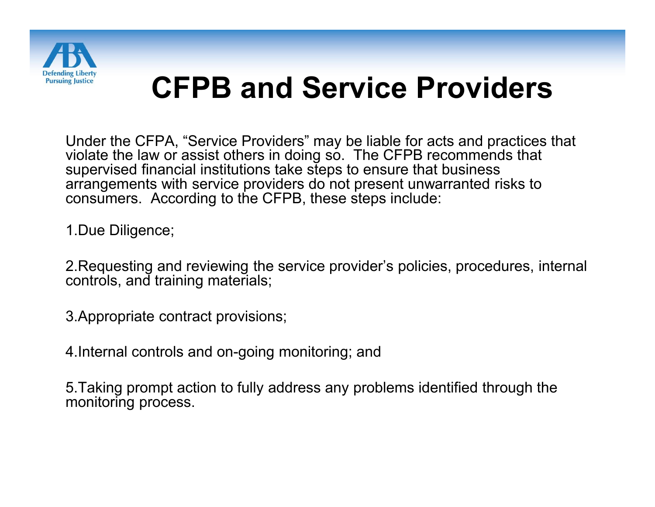

#### **CFPB and Service Providers**

Under the CFPA, "Service Providers" may be liable for acts and practices that violate the law or assist others in doing so. The CFPB recommends that supervised financial institutions take steps to ensure that business arrangements with service providers do not present unwarranted risks to consumers. According to the CFPB, these steps include:

1.Due Diligence;

2.Requesting and reviewing the service provider's policies, procedures, internal controls, and training materials;

3.Appropriate contract provisions;

4.Internal controls and on-going monitoring; and

5.Taking prompt action to fully address any problems identified through the monitoring process.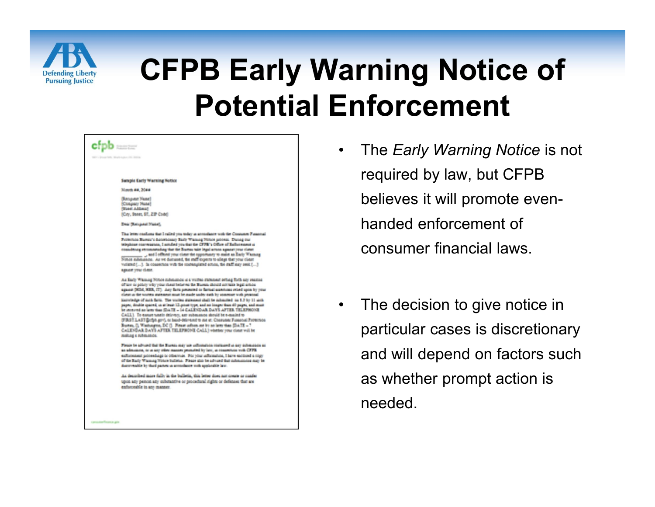

#### **CFPB Early Warning Notice of Potential Enforcement**

| Sample Early Warning Notice                                                                                                                                                                                                                                                                                                                                                                                                                                                                                                                                                                                                                                                                                                                                                                                                                                                                                                               |
|-------------------------------------------------------------------------------------------------------------------------------------------------------------------------------------------------------------------------------------------------------------------------------------------------------------------------------------------------------------------------------------------------------------------------------------------------------------------------------------------------------------------------------------------------------------------------------------------------------------------------------------------------------------------------------------------------------------------------------------------------------------------------------------------------------------------------------------------------------------------------------------------------------------------------------------------|
| Monrh ##, 20##                                                                                                                                                                                                                                                                                                                                                                                                                                                                                                                                                                                                                                                                                                                                                                                                                                                                                                                            |
| (Renguest Name)<br>Conpary Note!<br>(Tose: Addma)                                                                                                                                                                                                                                                                                                                                                                                                                                                                                                                                                                                                                                                                                                                                                                                                                                                                                         |
| (City, Stunes, ST., ZIP Code)                                                                                                                                                                                                                                                                                                                                                                                                                                                                                                                                                                                                                                                                                                                                                                                                                                                                                                             |
| Dear (Recognect Nume),                                                                                                                                                                                                                                                                                                                                                                                                                                                                                                                                                                                                                                                                                                                                                                                                                                                                                                                    |
| This brites conflicts that I called you today in accordance with the Consumer Pienersal<br>Printerida Bames's detectionsy Safy Wanneg Niture pricess. During our<br>integlation expressions, I actualled you that the CFFB's Office of Eufliptentest at<br>comodering recommending that the Bureau take legal action agreest your client<br>and I offered your clear the opportuney to main an Early Warning<br>Notes substances. As we duranted, the staff experts to allege thet your client<br>vidame (). In consecute with the contemplated action, the duff may sent ()<br>against your cluss.                                                                                                                                                                                                                                                                                                                                       |
| As Early Whitney Notice cubilistics is a vicible clabined setting forth any reacce<br>of law to policy why your client believes the Bureau should not take legal action<br>against (NEA, NEA, IT). Any faris presented to farmed auserities relied upon by your<br>client in the works intensent must be made under each by atmention with personal<br>Entretedge of such facts. The warms statement shall be achieving on \$.2 by 11 milk<br>papec, direbbe apaced, us at least 12 prices type, and no longer than 40 pages, and must<br>in minimi as am that EVATE - 14 CALENDAR DAYS AFTER TELEPHONE<br>CALL). To excust tunels delivers, any submance should be e-maind to<br>(FBS? LAST@chh.gov), or band-delivered to me at: Cheavener Funancel Protection<br>Bureau, []. Washington, DC []. Fleast influes me by an laws than [DATE = 7<br>CALENDAR DAYS AFTER TELEPHONE CALL) whether your client will be<br>making a rubmission. |
| Finain to advised that the Nueval may use influentially continued in any antimization as<br>as admissive, or as any other manner permitted by law, as romanticon with CFFR<br>esitionness protestings to othermie. For your information, I have entirely a copy<br>of the Rudy Wasneg Notes bulletes. Firsts also be advered that submissions may be<br>duratesable by their parties in accordance such applicable law.                                                                                                                                                                                                                                                                                                                                                                                                                                                                                                                   |
| As decorded more fully in the bulletin, this letter does not course or confer-<br>upon any person any substantive or procedural rights or defenses that are<br>enforcesble in any manner.                                                                                                                                                                                                                                                                                                                                                                                                                                                                                                                                                                                                                                                                                                                                                 |

- The *Early Warning Notice* is not required by law, but CFPB believes it will promote evenhanded enforcement of consumer financial laws.
- The decision to give notice in particular cases is discretionary and will depend on factors such as whether prompt action is needed.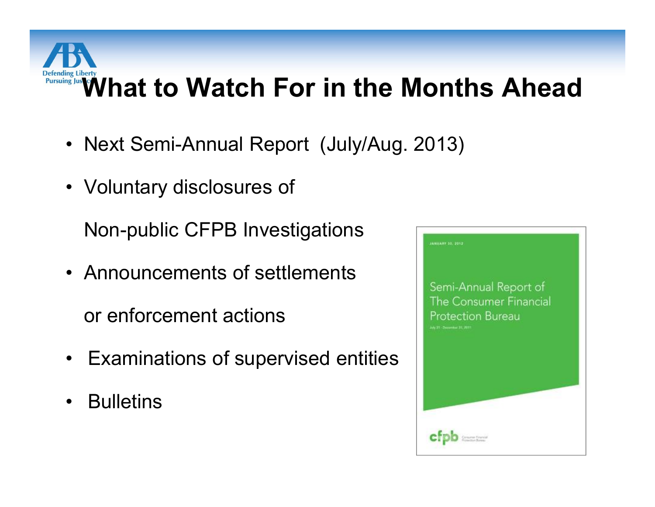# **Pursuing Justary**<br>Pursuing Justary **What to Watch For in the Months Ahead**

- Next Semi-Annual Report (July/Aug. 2013)
- Voluntary disclosures of

Non-public CFPB Investigations

• Announcements of settlements

or enforcement actions

- Examinations of supervised entities
- Bulletins